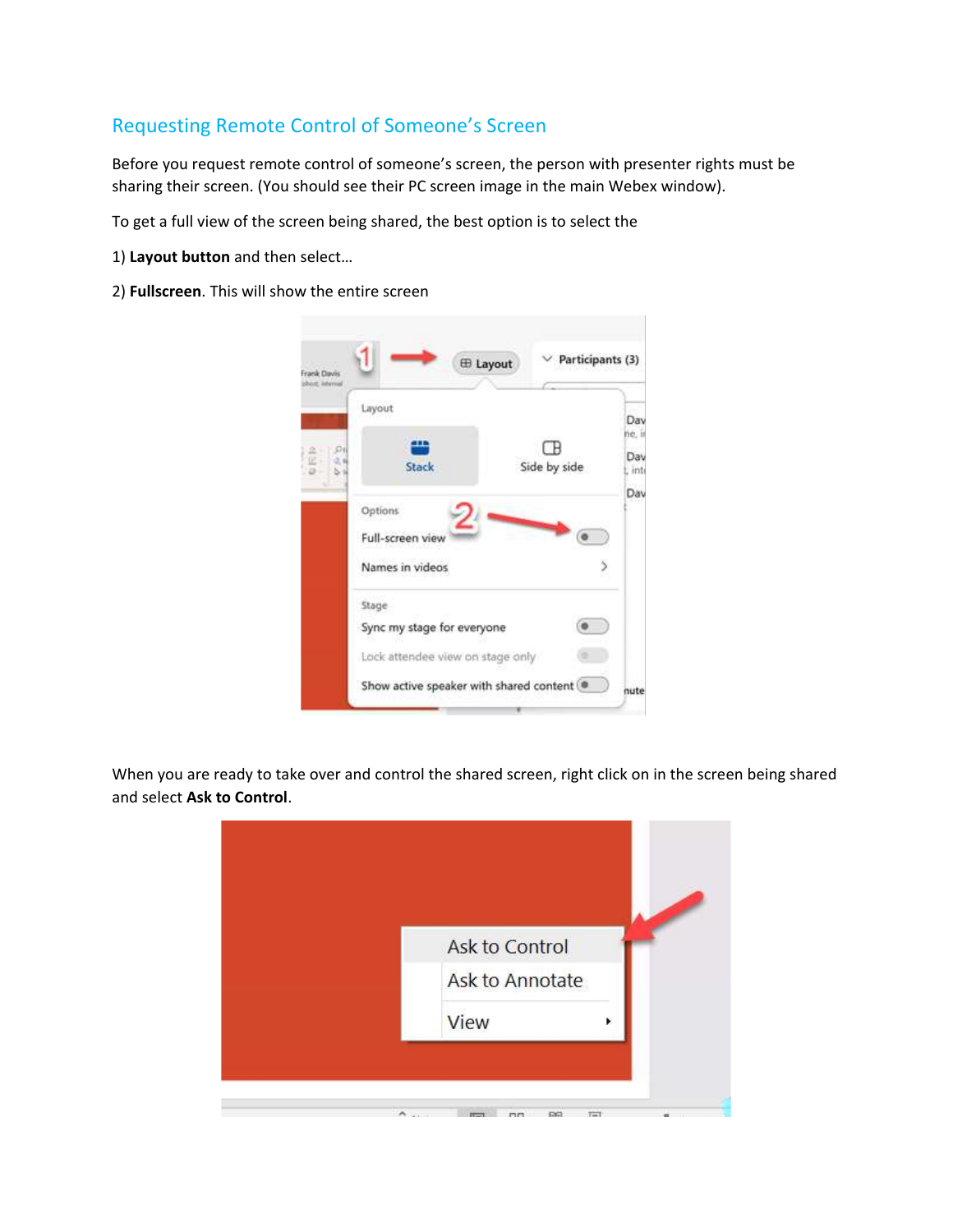## Requesting Remote Control of Someone's Screen

Before you request remote control of someone's screen, the person with presenter rights must be sharing their screen. (You should see their PC screen image in the main Webex window).

To get a full view of the screen being shared, the best option is to select the

- 1) **Layout button** and then select…
- 2) **Fullscreen**. This will show the entire screen

|          | Layout                                    |                        | Day                     |
|----------|-------------------------------------------|------------------------|-------------------------|
| 576<br>ė | щ<br>Stack                                | $\Box$<br>Side by side | ne, in<br>Day<br>L inti |
|          | Options                                   |                        | Dav                     |
|          | Full-screen view<br>Names in videos       |                        |                         |
|          | Stage                                     |                        |                         |
|          | Sync my stage for everyone                |                        |                         |
|          | Lock attendee view on stage only          |                        |                         |
|          | Show active speaker with shared content . |                        | nute                    |

When you are ready to take over and control the shared screen, right click on in the screen being shared and select **Ask to Control**.

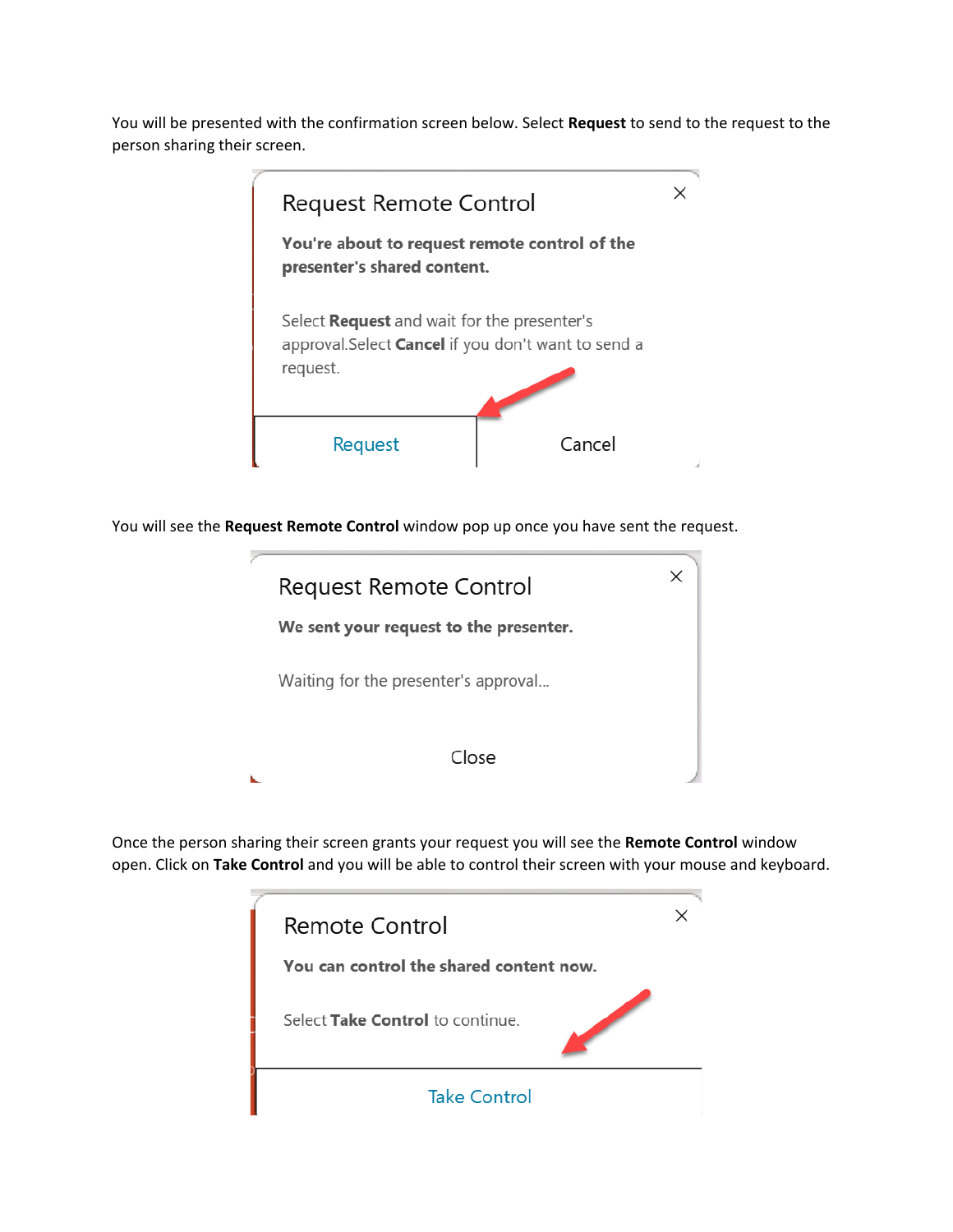You will be presented with the confirmation screen below. Select **Request** to send to the request to the person sharing their screen.



You will see the **Request Remote Control** window pop up once you have sent the request.



Once the person sharing their screen grants your request you will see the **Remote Control** window open. Click on **Take Control** and you will be able to control their screen with your mouse and keyboard.